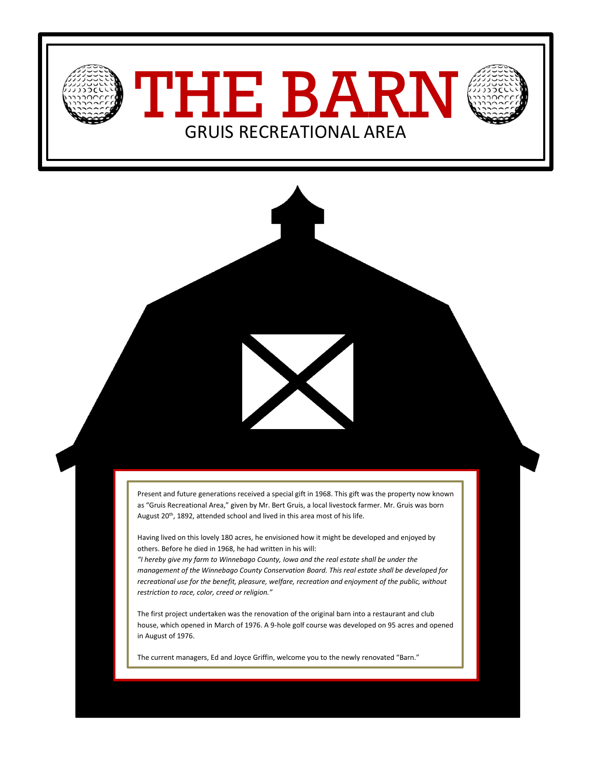

Present and future generations received a special gift in 1968. This gift was the property now known as "Gruis Recreational Area," given by Mr. Bert Gruis, a local livestock farmer. Mr. Gruis was born August 20<sup>th</sup>, 1892, attended school and lived in this area most of his life.

Having lived on this lovely 180 acres, he envisioned how it might be developed and enjoyed by others. Before he died in 1968, he had written in his will:

*"I hereby give my farm to Winnebago County, Iowa and the real estate shall be under the management of the Winnebago County Conservation Board. This real estate shall be developed for recreational use for the benefit, pleasure, welfare, recreation and enjoyment of the public, without restriction to race, color, creed or religion."*

The first project undertaken was the renovation of the original barn into a restaurant and club house, which opened in March of 1976. A 9-hole golf course was developed on 95 acres and opened in August of 1976.

The current managers, Ed and Joyce Griffin, welcome you to the newly renovated "Barn."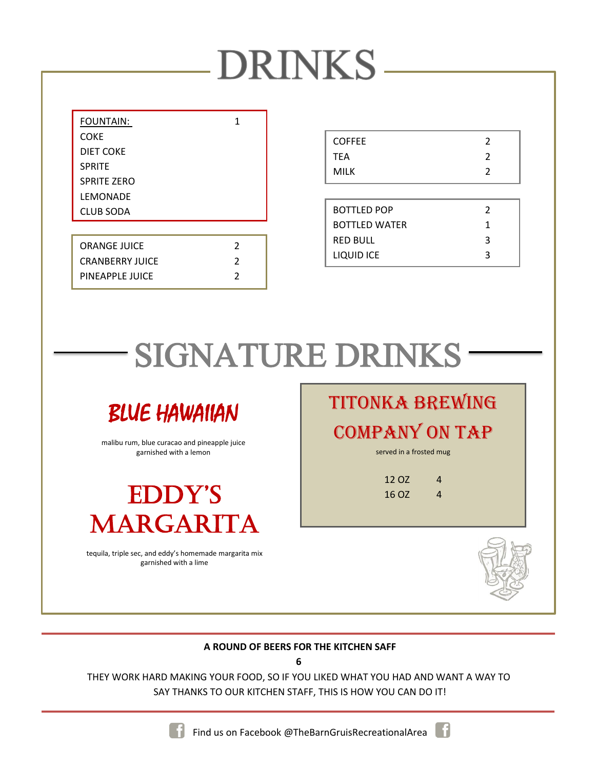| <b>DRINKS</b> |  |  |
|---------------|--|--|
|---------------|--|--|

| <b>FOUNTAIN:</b>       | 1              |
|------------------------|----------------|
| COKE                   |                |
| DIET COKE              |                |
| <b>SPRITE</b>          |                |
| <b>SPRITE ZERO</b>     |                |
| LEMONADE               |                |
| <b>CLUB SODA</b>       |                |
|                        |                |
| <b>ORANGE JUICE</b>    | $\mathfrak z$  |
| <b>CRANBERRY JUICE</b> | $\mathfrak{p}$ |
| PINEAPPLE JUICE        | 2              |

| <b>COFFEE</b> |  |
|---------------|--|
| <b>TEA</b>    |  |
| <b>MILK</b>   |  |
|               |  |

| BOTTLED POP   | 2 |
|---------------|---|
| BOTTLED WATER | 1 |
| RED BULL      | ર |
| LIQUID ICE    | ર |

## SIGNATURE DRINKS



malibu rum, blue curacao and pineapple juice garnished with a lemon



tequila, triple sec, and eddy's homemade margarita mix garnished with a lime

titonka BREWing company ON TAP

served in a frosted mug

| 4 |
|---|
| 4 |
|   |



#### **A ROUND OF BEERS FOR THE KITCHEN SAFF**

**6**

THEY WORK HARD MAKING YOUR FOOD, SO IF YOU LIKED WHAT YOU HAD AND WANT A WAY TO SAY THANKS TO OUR KITCHEN STAFF, THIS IS HOW YOU CAN DO IT!

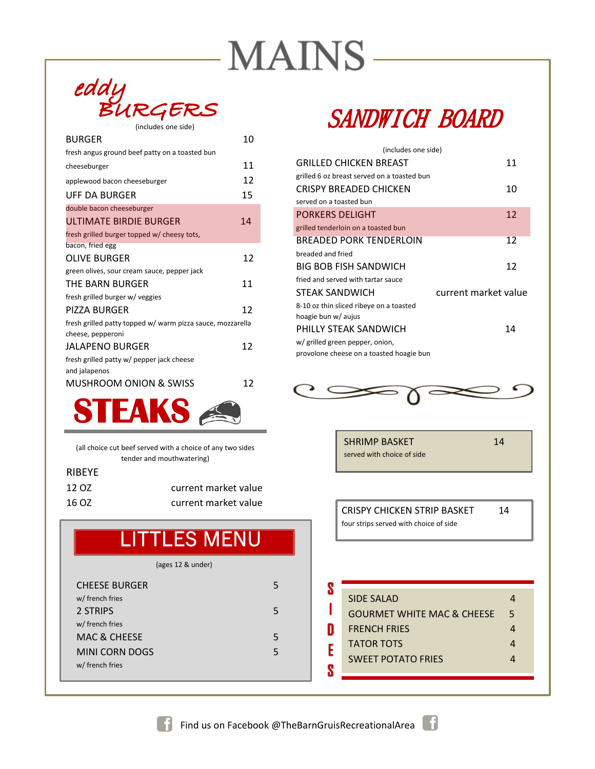## **MAINS-**



| <b>BURGER</b>                                                                  | 10 |
|--------------------------------------------------------------------------------|----|
| fresh angus ground beef patty on a toasted bun                                 |    |
| cheeseburger                                                                   | 11 |
| applewood bacon cheeseburger                                                   | 12 |
| UFF DA BURGER                                                                  | 15 |
| double bacon cheeseburger                                                      |    |
| ULTIMATE BIRDIE BURGER                                                         | 14 |
| fresh grilled burger topped w/ cheesy tots,                                    |    |
| bacon, fried egg                                                               |    |
| <b>OLIVE BURGER</b>                                                            | 12 |
| green olives, sour cream sauce, pepper jack                                    |    |
| THE BARN BURGER                                                                | 11 |
| fresh grilled burger w/ veggies                                                |    |
| <b>PIZZA BURGER</b>                                                            | 12 |
| fresh grilled patty topped w/warm pizza sauce, mozzarella<br>cheese, pepperoni |    |
| JALAPENO BURGER                                                                | 12 |
| fresh grilled patty w/ pepper jack cheese<br>and jalapenos                     |    |
| <b>MUSHROOM ONION &amp; SWISS</b>                                              | 12 |



(all choice cut beef served with a choice of any two sides tender and mouthwatering)

#### RIBEYE

| 12 OZ | current market value |
|-------|----------------------|
| 16 OZ | current market value |

### **LITTLES MENU**

(ages 12 & under)

| <b>CHEESE BURGER</b>    |   |
|-------------------------|---|
| w/ french fries         |   |
| 2 STRIPS                |   |
| w/ french fries         |   |
| <b>MAC &amp; CHEESE</b> | 5 |
| MINI CORN DOGS          | 5 |
| w/ french fries         |   |
|                         |   |

### SANDWICH BOARD

| (includes one side)                         |                      |    |
|---------------------------------------------|----------------------|----|
| <b>GRILLED CHICKEN BREAST</b>               |                      | 11 |
| grilled 6 oz breast served on a toasted bun |                      |    |
| CRISPY BREADED CHICKEN                      |                      | 10 |
| served on a toasted bun                     |                      |    |
| <b>PORKERS DELIGHT</b>                      |                      | 12 |
| grilled tenderloin on a toasted bun         |                      |    |
| BREADED PORK TENDERLOIN                     |                      | 12 |
| breaded and fried                           |                      |    |
| <b>BIG BOB FISH SANDWICH</b>                |                      | 12 |
| fried and served with tartar sauce          |                      |    |
| <b>STEAK SANDWICH</b>                       | current market value |    |
| 8-10 oz thin sliced ribeye on a toasted     |                      |    |
| hoagie bun w/ aujus                         |                      |    |
| PHILLY STEAK SANDWICH                       |                      | 14 |
| w/ grilled green pepper, onion,             |                      |    |
| provolone cheese on a toasted hoagie bun    |                      |    |



SHRIMP BASKET 14 served with choice of side

CRISPY CHICKEN STRIP BASKET 14 four strips served with choice of side

|   | SIDE SALAD                            |   |  |
|---|---------------------------------------|---|--|
|   | <b>GOURMET WHITE MAC &amp; CHEESE</b> | 5 |  |
| D | <b>FRENCH FRIES</b>                   |   |  |
| E | <b>TATOR TOTS</b>                     |   |  |
|   | <b>SWEET POTATO FRIES</b>             |   |  |
|   |                                       |   |  |